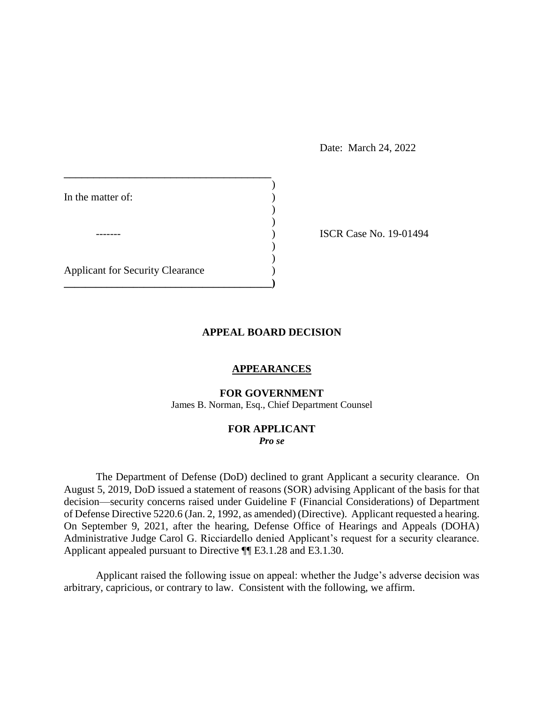Date: March 24, 2022

| In the matter of:                       |  |
|-----------------------------------------|--|
|                                         |  |
|                                         |  |
|                                         |  |
| <b>Applicant for Security Clearance</b> |  |
|                                         |  |

ISCR Case No. 19-01494

## **APPEAL BOARD DECISION**

## **APPEARANCES**

#### **FOR GOVERNMENT**

James B. Norman, Esq., Chief Department Counsel

### **FOR APPLICANT**  *Pro se*

 The Department of Defense (DoD) declined to grant Applicant a security clearance. On August 5, 2019, DoD issued a statement of reasons (SOR) advising Applicant of the basis for that decision⸺security concerns raised under Guideline F (Financial Considerations) of Department of Defense Directive 5220.6 (Jan. 2, 1992, as amended) (Directive). Applicant requested a hearing. On September 9, 2021, after the hearing, Defense Office of Hearings and Appeals (DOHA) Administrative Judge Carol G. Ricciardello denied Applicant's request for a security clearance. Applicant appealed pursuant to Directive ¶¶ E3.1.28 and E3.1.30.

 Applicant raised the following issue on appeal: whether the Judge's adverse decision was arbitrary, capricious, or contrary to law. Consistent with the following, we affirm.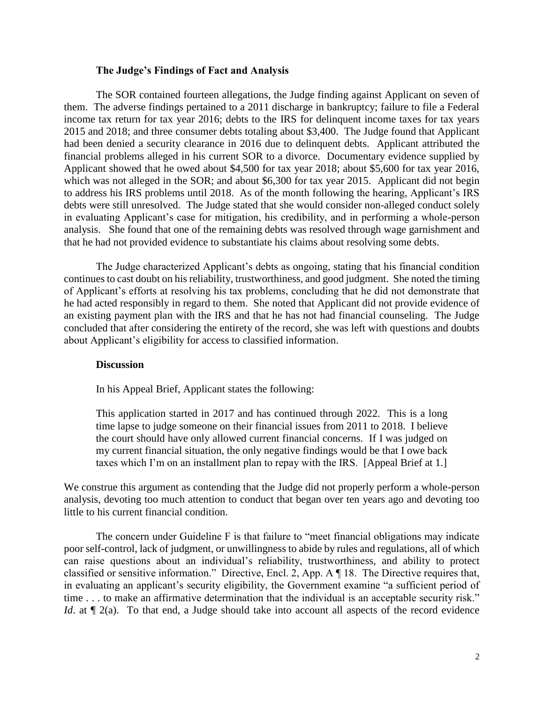### **The Judge's Findings of Fact and Analysis**

 The SOR contained fourteen allegations, the Judge finding against Applicant on seven of them. The adverse findings pertained to a 2011 discharge in bankruptcy; failure to file a Federal income tax return for tax year 2016; debts to the IRS for delinquent income taxes for tax years 2015 and 2018; and three consumer debts totaling about \$3,400. The Judge found that Applicant had been denied a security clearance in 2016 due to delinquent debts. Applicant attributed the financial problems alleged in his current SOR to a divorce. Documentary evidence supplied by Applicant showed that he owed about \$4,500 for tax year 2018; about \$5,600 for tax year 2016, which was not alleged in the SOR; and about \$6,300 for tax year 2015. Applicant did not begin to address his IRS problems until 2018. As of the month following the hearing, Applicant's IRS debts were still unresolved. The Judge stated that she would consider non-alleged conduct solely in evaluating Applicant's case for mitigation, his credibility, and in performing a whole-person analysis. She found that one of the remaining debts was resolved through wage garnishment and that he had not provided evidence to substantiate his claims about resolving some debts.

 The Judge characterized Applicant's debts as ongoing, stating that his financial condition of Applicant's efforts at resolving his tax problems, concluding that he did not demonstrate that he had acted responsibly in regard to them. She noted that Applicant did not provide evidence of an existing payment plan with the IRS and that he has not had financial counseling. The Judge concluded that after considering the entirety of the record, she was left with questions and doubts continues to cast doubt on his reliability, trustworthiness, and good judgment. She noted the timing about Applicant's eligibility for access to classified information.

## **Discussion**

In his Appeal Brief, Applicant states the following:

 This application started in 2017 and has continued through 2022. This is a long the court should have only allowed current financial concerns. If I was judged on time lapse to judge someone on their financial issues from 2011 to 2018. I believe my current financial situation, the only negative findings would be that I owe back taxes which I'm on an installment plan to repay with the IRS. [Appeal Brief at 1.]

 We construe this argument as contending that the Judge did not properly perform a whole-person analysis, devoting too much attention to conduct that began over ten years ago and devoting too little to his current financial condition.

 The concern under Guideline F is that failure to "meet financial obligations may indicate classified or sensitive information." Directive, Encl. 2, App. A ¶ 18. The Directive requires that, in evaluating an applicant's security eligibility, the Government examine "a sufficient period of time . . . to make an affirmative determination that the individual is an acceptable security risk." *Id*. at  $\llbracket 2(a)$ . To that end, a Judge should take into account all aspects of the record evidence poor self-control, lack of judgment, or unwillingness to abide by rules and regulations, all of which can raise questions about an individual's reliability, trustworthiness, and ability to protect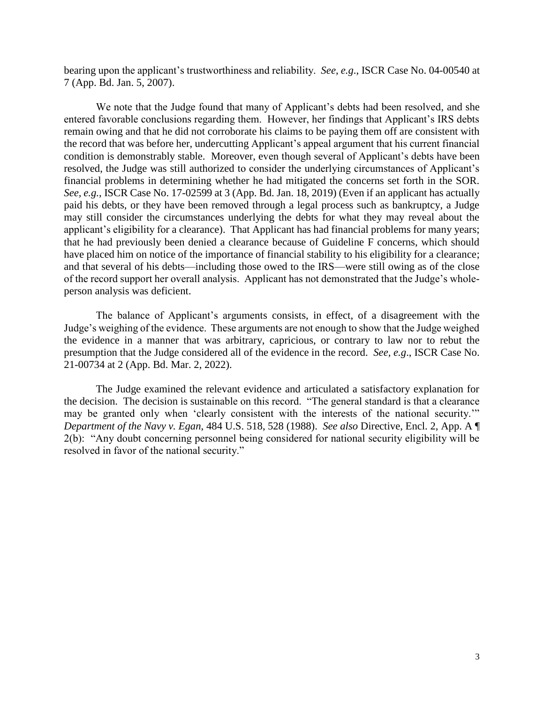bearing upon the applicant's trustworthiness and reliability. *See*, *e.g*., ISCR Case No. 04-00540 at 7 (App. Bd. Jan. 5, 2007).

 We note that the Judge found that many of Applicant's debts had been resolved, and she entered favorable conclusions regarding them. However, her findings that Applicant's IRS debts condition is demonstrably stable. Moreover, even though several of Applicant's debts have been resolved, the Judge was still authorized to consider the underlying circumstances of Applicant's financial problems in determining whether he had mitigated the concerns set forth in the SOR. *See, e.g.*, ISCR Case No. 17-02599 at 3 (App. Bd. Jan. 18, 2019) (Even if an applicant has actually paid his debts, or they have been removed through a legal process such as bankruptcy, a Judge may still consider the circumstances underlying the debts for what they may reveal about the applicant's eligibility for a clearance). That Applicant has had financial problems for many years; that he had previously been denied a clearance because of Guideline F concerns, which should have placed him on notice of the importance of financial stability to his eligibility for a clearance; and that several of his debts—including those owed to the IRS—were still owing as of the close of the record support her overall analysis. Applicant has not demonstrated that the Judge's wholeremain owing and that he did not corroborate his claims to be paying them off are consistent with the record that was before her, undercutting Applicant's appeal argument that his current financial person analysis was deficient.

 The balance of Applicant's arguments consists, in effect, of a disagreement with the Judge's weighing of the evidence. These arguments are not enough to show that the Judge weighed the evidence in a manner that was arbitrary, capricious, or contrary to law nor to rebut the 21-00734 at 2 (App. Bd. Mar. 2, 2022). presumption that the Judge considered all of the evidence in the record. *See, e.g*., ISCR Case No.

 The Judge examined the relevant evidence and articulated a satisfactory explanation for may be granted only when 'clearly consistent with the interests of the national security.'" *Department of the Navy v. Egan*, 484 U.S. 518, 528 (1988). *See also* Directive, Encl. 2, App. A ¶ 2(b): "Any doubt concerning personnel being considered for national security eligibility will be the decision. The decision is sustainable on this record. "The general standard is that a clearance resolved in favor of the national security."